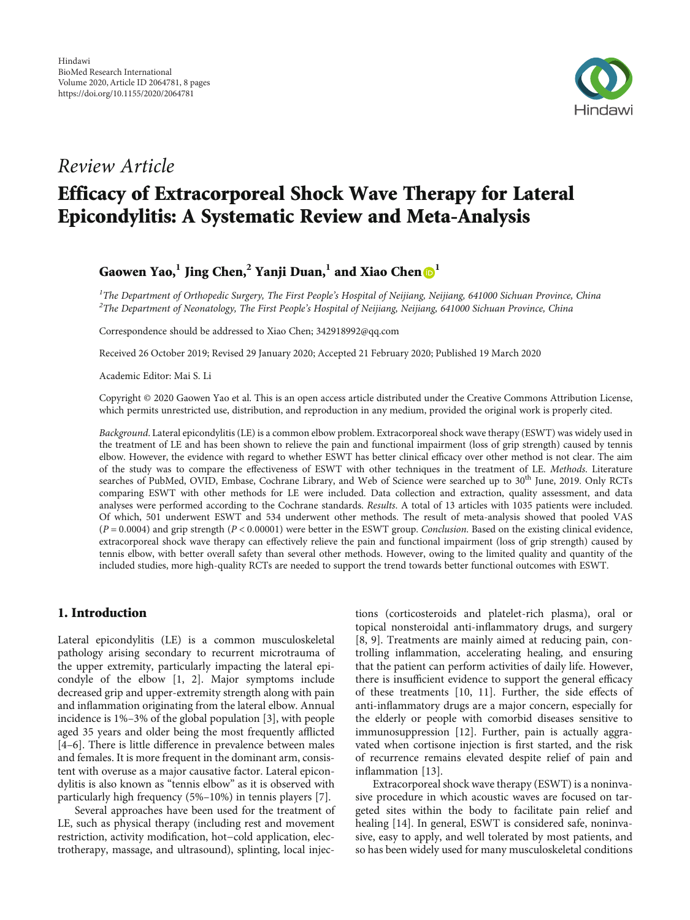

## Review Article

# Efficacy of Extracorporeal Shock Wave Therapy for Lateral Epicondylitis: A Systematic Review and Meta-Analysis

### Gaowen Yao,**<sup>1</sup>** Jing Chen,**<sup>2</sup>** Yanji Duan,**<sup>1</sup>** and Xiao Chen **<sup>1</sup>**

<sup>1</sup>The Department of Orthopedic Surgery, The First People's Hospital of Neijiang, Neijiang, 641000 Sichuan Province, China<br><sup>2</sup>The Department of Neonatology, The First People's Hospital of Neijiang, Meijiang, 641000 Sichuan  $10^{2}$ The Department of Neonatology, The First People's Hospital of Neijiang, Neijiang, 641000 Sichuan Province, China

Correspondence should be addressed to Xiao Chen; 342918992@qq.com

Received 26 October 2019; Revised 29 January 2020; Accepted 21 February 2020; Published 19 March 2020

Academic Editor: Mai S. Li

Copyright © 2020 Gaowen Yao et al. This is an open access article distributed under the [Creative Commons Attribution License](https://creativecommons.org/licenses/by/4.0/), which permits unrestricted use, distribution, and reproduction in any medium, provided the original work is properly cited.

Background. Lateral epicondylitis (LE) is a common elbow problem. Extracorporeal shock wave therapy (ESWT) was widely used in the treatment of LE and has been shown to relieve the pain and functional impairment (loss of grip strength) caused by tennis elbow. However, the evidence with regard to whether ESWT has better clinical efficacy over other method is not clear. The aim of the study was to compare the effectiveness of ESWT with other techniques in the treatment of LE. Methods. Literature searches of PubMed, OVID, Embase, Cochrane Library, and Web of Science were searched up to 30<sup>th</sup> June, 2019. Only RCTs comparing ESWT with other methods for LE were included. Data collection and extraction, quality assessment, and data analyses were performed according to the Cochrane standards. Results. A total of 13 articles with 1035 patients were included. Of which, 501 underwent ESWT and 534 underwent other methods. The result of meta-analysis showed that pooled VAS (*<sup>P</sup>* = 0*:*0004) and grip strength (*<sup>P</sup>* < 0*:*00001) were better in the ESWT group. Conclusion. Based on the existing clinical evidence, extracorporeal shock wave therapy can effectively relieve the pain and functional impairment (loss of grip strength) caused by tennis elbow, with better overall safety than several other methods. However, owing to the limited quality and quantity of the included studies, more high-quality RCTs are needed to support the trend towards better functional outcomes with ESWT.

#### 1. Introduction

Lateral epicondylitis (LE) is a common musculoskeletal pathology arising secondary to recurrent microtrauma of the upper extremity, particularly impacting the lateral epicondyle of the elbow [\[1](#page-6-0), [2](#page-6-0)]. Major symptoms include decreased grip and upper-extremity strength along with pain and inflammation originating from the lateral elbow. Annual incidence is 1%–3% of the global population [[3\]](#page-6-0), with people aged 35 years and older being the most frequently afflicted [\[4](#page-6-0)–[6](#page-6-0)]. There is little difference in prevalence between males and females. It is more frequent in the dominant arm, consistent with overuse as a major causative factor. Lateral epicondylitis is also known as "tennis elbow" as it is observed with particularly high frequency (5%–10%) in tennis players [\[7](#page-6-0)].

Several approaches have been used for the treatment of LE, such as physical therapy (including rest and movement restriction, activity modification, hot−cold application, electrotherapy, massage, and ultrasound), splinting, local injec-

tions (corticosteroids and platelet-rich plasma), oral or topical nonsteroidal anti-inflammatory drugs, and surgery [\[8](#page-6-0), [9\]](#page-6-0). Treatments are mainly aimed at reducing pain, controlling inflammation, accelerating healing, and ensuring that the patient can perform activities of daily life. However, there is insufficient evidence to support the general efficacy of these treatments [[10](#page-6-0), [11](#page-6-0)]. Further, the side effects of anti-inflammatory drugs are a major concern, especially for the elderly or people with comorbid diseases sensitive to immunosuppression [\[12\]](#page-6-0). Further, pain is actually aggravated when cortisone injection is first started, and the risk of recurrence remains elevated despite relief of pain and inflammation [[13](#page-6-0)].

Extracorporeal shock wave therapy (ESWT) is a noninvasive procedure in which acoustic waves are focused on targeted sites within the body to facilitate pain relief and healing [\[14](#page-7-0)]. In general, ESWT is considered safe, noninvasive, easy to apply, and well tolerated by most patients, and so has been widely used for many musculoskeletal conditions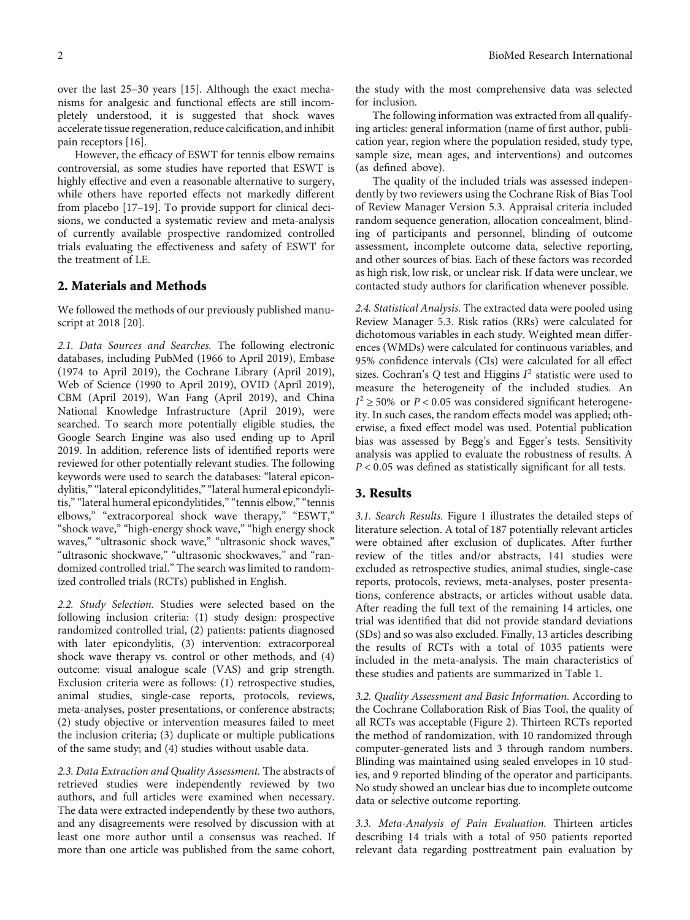over the last 25–30 years [\[15\]](#page-7-0). Although the exact mechanisms for analgesic and functional effects are still incompletely understood, it is suggested that shock waves accelerate tissue regeneration, reduce calcification, and inhibit pain receptors [\[16\]](#page-7-0).

However, the efficacy of ESWT for tennis elbow remains controversial, as some studies have reported that ESWT is highly effective and even a reasonable alternative to surgery, while others have reported effects not markedly different from placebo [[17](#page-7-0)–[19](#page-7-0)]. To provide support for clinical decisions, we conducted a systematic review and meta-analysis of currently available prospective randomized controlled trials evaluating the effectiveness and safety of ESWT for the treatment of LE.

#### 2. Materials and Methods

We followed the methods of our previously published manuscript at 2018 [\[20](#page-7-0)].

2.1. Data Sources and Searches. The following electronic databases, including PubMed (1966 to April 2019), Embase (1974 to April 2019), the Cochrane Library (April 2019), Web of Science (1990 to April 2019), OVID (April 2019), CBM (April 2019), Wan Fang (April 2019), and China National Knowledge Infrastructure (April 2019), were searched. To search more potentially eligible studies, the Google Search Engine was also used ending up to April 2019. In addition, reference lists of identified reports were reviewed for other potentially relevant studies. The following keywords were used to search the databases: "lateral epicondylitis," "lateral epicondylitides," "lateral humeral epicondylitis," "lateral humeral epicondylitides," "tennis elbow," "tennis elbows," "extracorporeal shock wave therapy," "ESWT," "shock wave," "high-energy shock wave," "high energy shock waves," "ultrasonic shock wave," "ultrasonic shock waves," "ultrasonic shockwave," "ultrasonic shockwaves," and "randomized controlled trial." The search was limited to randomized controlled trials (RCTs) published in English.

2.2. Study Selection. Studies were selected based on the following inclusion criteria: (1) study design: prospective randomized controlled trial, (2) patients: patients diagnosed with later epicondylitis, (3) intervention: extracorporeal shock wave therapy vs. control or other methods, and (4) outcome: visual analogue scale (VAS) and grip strength. Exclusion criteria were as follows: (1) retrospective studies, animal studies, single-case reports, protocols, reviews, meta-analyses, poster presentations, or conference abstracts; (2) study objective or intervention measures failed to meet the inclusion criteria; (3) duplicate or multiple publications of the same study; and (4) studies without usable data.

2.3. Data Extraction and Quality Assessment. The abstracts of retrieved studies were independently reviewed by two authors, and full articles were examined when necessary. The data were extracted independently by these two authors, and any disagreements were resolved by discussion with at least one more author until a consensus was reached. If more than one article was published from the same cohort,

the study with the most comprehensive data was selected for inclusion.

The following information was extracted from all qualifying articles: general information (name of first author, publication year, region where the population resided, study type, sample size, mean ages, and interventions) and outcomes (as defined above).

The quality of the included trials was assessed independently by two reviewers using the Cochrane Risk of Bias Tool of Review Manager Version 5.3. Appraisal criteria included random sequence generation, allocation concealment, blinding of participants and personnel, blinding of outcome assessment, incomplete outcome data, selective reporting, and other sources of bias. Each of these factors was recorded as high risk, low risk, or unclear risk. If data were unclear, we contacted study authors for clarification whenever possible.

2.4. Statistical Analysis. The extracted data were pooled using Review Manager 5.3. Risk ratios (RRs) were calculated for dichotomous variables in each study. Weighted mean differences (WMDs) were calculated for continuous variables, and 95% confidence intervals (CIs) were calculated for all effect sizes. Cochran's *Q* test and Higgins *I*<sup>2</sup> statistic were used to measure the heterogeneity of the included studies. An  $I^2 \ge 50\%$  or  $P < 0.05$  was considered significant heterogeneity. In such cases, the random effects model was applied; otherwise, a fixed effect model was used. Potential publication bias was assessed by Begg's and Egger's tests. Sensitivity analysis was applied to evaluate the robustness of results. A *<sup>P</sup>* < 0*:*05 was defined as statistically significant for all tests.

#### 3. Results

3.1. Search Results. Figure [1](#page-2-0) illustrates the detailed steps of literature selection. A total of 187 potentially relevant articles were obtained after exclusion of duplicates. After further review of the titles and/or abstracts, 141 studies were excluded as retrospective studies, animal studies, single-case reports, protocols, reviews, meta-analyses, poster presentations, conference abstracts, or articles without usable data. After reading the full text of the remaining 14 articles, one trial was identified that did not provide standard deviations (SDs) and so was also excluded. Finally, 13 articles describing the results of RCTs with a total of 1035 patients were included in the meta-analysis. The main characteristics of these studies and patients are summarized in Table [1.](#page-3-0)

3.2. Quality Assessment and Basic Information. According to the Cochrane Collaboration Risk of Bias Tool, the quality of all RCTs was acceptable (Figure [2\)](#page-4-0). Thirteen RCTs reported the method of randomization, with 10 randomized through computer-generated lists and 3 through random numbers. Blinding was maintained using sealed envelopes in 10 studies, and 9 reported blinding of the operator and participants. No study showed an unclear bias due to incomplete outcome data or selective outcome reporting.

3.3. Meta-Analysis of Pain Evaluation. Thirteen articles describing 14 trials with a total of 950 patients reported relevant data regarding posttreatment pain evaluation by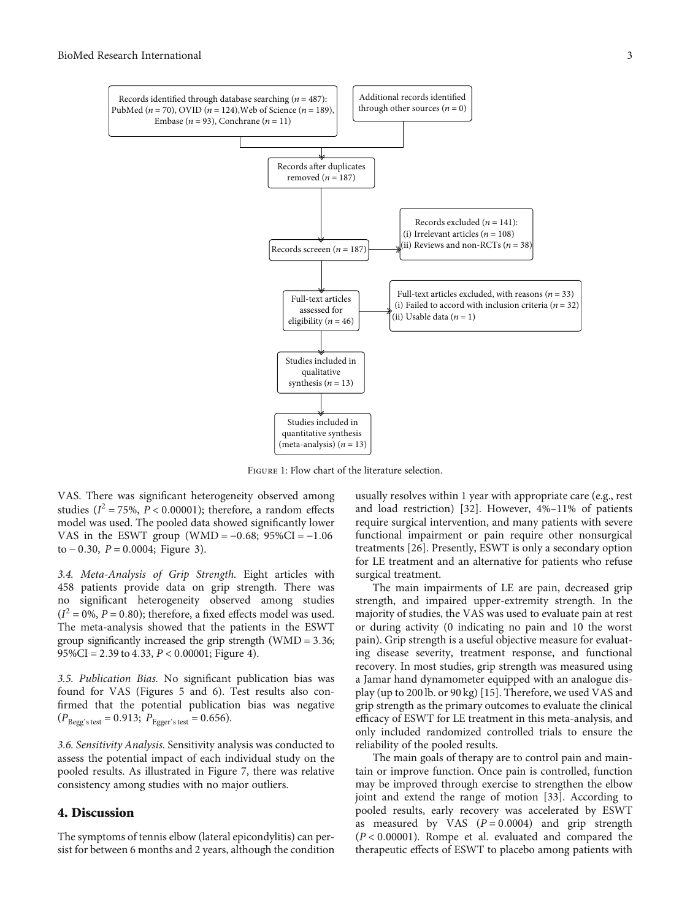<span id="page-2-0"></span>

Figure 1: Flow chart of the literature selection.

VAS. There was significant heterogeneity observed among studies ( $I^2 = 75\%$ ,  $P < 0.00001$ ); therefore, a random effects model was used. The pooled data showed significantly lower VAS in the ESWT group (WMD = <sup>−</sup>0*:*68; 95*%*CI = <sup>−</sup>1*:*06 to <sup>−</sup> 0*:*30, *<sup>P</sup>* = 0*:*0004; Figure [3\)](#page-4-0).

3.4. Meta-Analysis of Grip Strength. Eight articles with 458 patients provide data on grip strength. There was no significant heterogeneity observed among studies  $(I^2 = 0\%, P = 0.80)$ ; therefore, a fixed effects model was used. The meta-analysis showed that the patients in the ESWT group significantly increased the grip strength (WMD = 3*:*36; 95*%*CI = 2*:*39 to 4*:*33, *<sup>P</sup>* < 0*:*00001; Figure [4\)](#page-4-0).

3.5. Publication Bias. No significant publication bias was found for VAS (Figures [5](#page-5-0) and [6\)](#page-5-0). Test results also confirmed that the potential publication bias was negative  $(P_{\text{Begg's test}} = 0.913; P_{\text{Egger's test}} = 0.656).$ 

3.6. Sensitivity Analysis. Sensitivity analysis was conducted to assess the potential impact of each individual study on the pooled results. As illustrated in Figure [7](#page-6-0), there was relative consistency among studies with no major outliers.

#### 4. Discussion

The symptoms of tennis elbow (lateral epicondylitis) can persist for between 6 months and 2 years, although the condition usually resolves within 1 year with appropriate care (e.g., rest and load restriction) [\[32\]](#page-7-0). However, 4%–11% of patients require surgical intervention, and many patients with severe functional impairment or pain require other nonsurgical treatments [[26](#page-7-0)]. Presently, ESWT is only a secondary option for LE treatment and an alternative for patients who refuse surgical treatment.

The main impairments of LE are pain, decreased grip strength, and impaired upper-extremity strength. In the majority of studies, the VAS was used to evaluate pain at rest or during activity (0 indicating no pain and 10 the worst pain). Grip strength is a useful objective measure for evaluating disease severity, treatment response, and functional recovery. In most studies, grip strength was measured using a Jamar hand dynamometer equipped with an analogue display (up to 200 lb. or 90 kg) [[15\]](#page-7-0). Therefore, we used VAS and grip strength as the primary outcomes to evaluate the clinical efficacy of ESWT for LE treatment in this meta-analysis, and only included randomized controlled trials to ensure the reliability of the pooled results.

The main goals of therapy are to control pain and maintain or improve function. Once pain is controlled, function may be improved through exercise to strengthen the elbow joint and extend the range of motion [\[33\]](#page-7-0). According to pooled results, early recovery was accelerated by ESWT as measured by VAS (*<sup>P</sup>* = 0*:*0004) and grip strength (*<sup>P</sup>* < 0*:*00001). Rompe et al. evaluated and compared the therapeutic effects of ESWT to placebo among patients with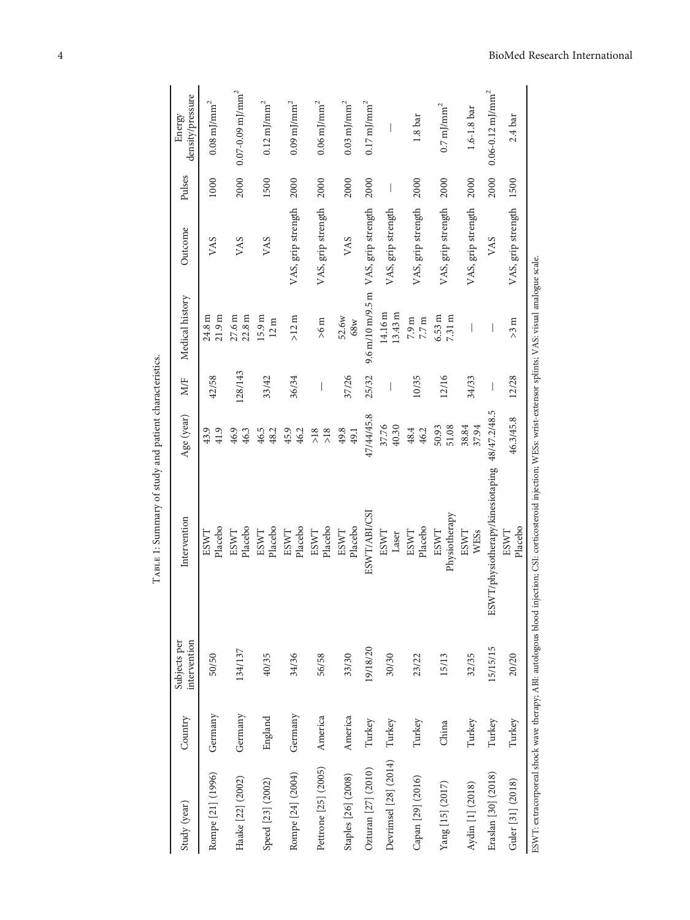| Study (year)          | Country | intervention<br>Subjects per | Intervention                                                                                                                                                       | Age (year)     | M/F     | Medical history                                         | Outcome            | Pulses | density/pressure<br>Energy         |
|-----------------------|---------|------------------------------|--------------------------------------------------------------------------------------------------------------------------------------------------------------------|----------------|---------|---------------------------------------------------------|--------------------|--------|------------------------------------|
| Rompe [21] (1996)     | Germany | 50/50                        | Placebo<br>ESWT                                                                                                                                                    | 43.9<br>41.9   | 42/58   | 21.9m<br>24.8 m                                         | VAS                | 1000   | $0.08 \text{ m}$ J/mm <sup>2</sup> |
| Haake [22] (2002)     | Germany | 134/137                      | Placebo<br>ESWT                                                                                                                                                    | 46.9<br>46.3   | 128/143 | 27.6 m<br>22.8m                                         | VAS                | 2000   | $0.07 - 0.09$ mJ/mm <sup>2</sup>   |
| Speed [23] (2002)     | England | 40/35                        | Placebo<br>ESWT                                                                                                                                                    | 46.5<br>48.2   | 33/42   | 15.9 <sub>m</sub><br>$12 \text{ m}$                     | VAS                | 1500   | $0.12 \text{ m}$ J/mm <sup>2</sup> |
| Rompe [24] (2004)     | Germany | 34/36                        | Placebo<br>ESWT                                                                                                                                                    | 45.9<br>46.2   | 36/34   | $>12 \text{ m}$                                         | VAS, grip strength | 2000   | $0.09 \text{ m}$ J/mm <sup>2</sup> |
| Pettrone [25] (2005)  | America | 56/58                        | Placebo<br>ESWT                                                                                                                                                    | >18<br>>18     | I       | >6m                                                     | VAS, grip strength | 2000   | $0.06 \,\mathrm{mJ/mm}^2$          |
| Staples [26] (2008)   | America | 33/30                        | Placebo<br>ESWT                                                                                                                                                    | 49.8<br>49.1   | 37/26   | 52.6w<br>68w                                            | VAS                | 2000   | $0.03 \text{ m}$ /mm <sup>2</sup>  |
| Ozturan [27] (2010)   | Turkey  | 19/18/20                     | ESWT/ABI/CSI                                                                                                                                                       | 47/44/45.8     | 25/32   | $9.6 \,\mathrm{m} / 10 \,\mathrm{m} / 9.5 \,\mathrm{m}$ | VAS, grip strength | 2000   | $0.17 \text{ m}$ J/mm <sup>2</sup> |
| Devrimsel [28] (2014) | Turkey  | 30/30                        | ESWT<br>Laser                                                                                                                                                      | 37.76<br>40.30 |         | 14.16 m<br>$13.43 \text{ m}$                            | VAS, grip strength |        |                                    |
| Capan [29] (2016)     | Turkey  | 23/22                        | Placebo<br>ESWT                                                                                                                                                    | 48.4<br>46.2   | 10/35   | 7.7m<br>$7.9\,\mathrm{m}$                               | VAS, grip strength | 2000   | 1.8 <sub>bar</sub>                 |
| Yang [15] (2017)      | China   | 15/13                        | Physiotherapy<br>ESWT                                                                                                                                              | 50.93<br>51.08 | 12/16   | $6.53 \text{ m}$<br>$7.31 \text{ m}$                    | VAS, grip strength | 2000   | $0.7 \text{ mJ/mm}^2$              |
| Aydin [1] (2018)      | Turkey  | 32/35                        | ESWT<br>WESs                                                                                                                                                       | 38.84<br>37.94 | 34/33   |                                                         | VAS, grip strength | 2000   | $1.6 - 1.8$ bar                    |
| Eraslan [30] (2018)   | Turkey  | 15/15/15                     | ESWT/physiotherapy/kinesiotaping                                                                                                                                   | 48/47.2/48.5   |         |                                                         | VAS                | 2000   | $0.06 - 0.12$ mJ/mm <sup>2</sup>   |
| Guler [31] (2018)     | Turkey  | 20/20                        | Placebo<br>ESWT                                                                                                                                                    | 46.3/45.8      | 12/28   | >3 m                                                    | VAS, grip strength | 1500   | $2.4$ bar                          |
|                       |         |                              | ESWT: extracorporeal shock wave therapy; ABI: autologous blood injection; CSI: corticosteroid injection; WESs: wrist-extensor splints; VAS: visual analogue scale. |                |         |                                                         |                    |        |                                    |

TABLE 1: Summary of study and patient characteristics. TABLE 1: Summary of study and patient characteristics.

<span id="page-3-0"></span>4 BioMed Research International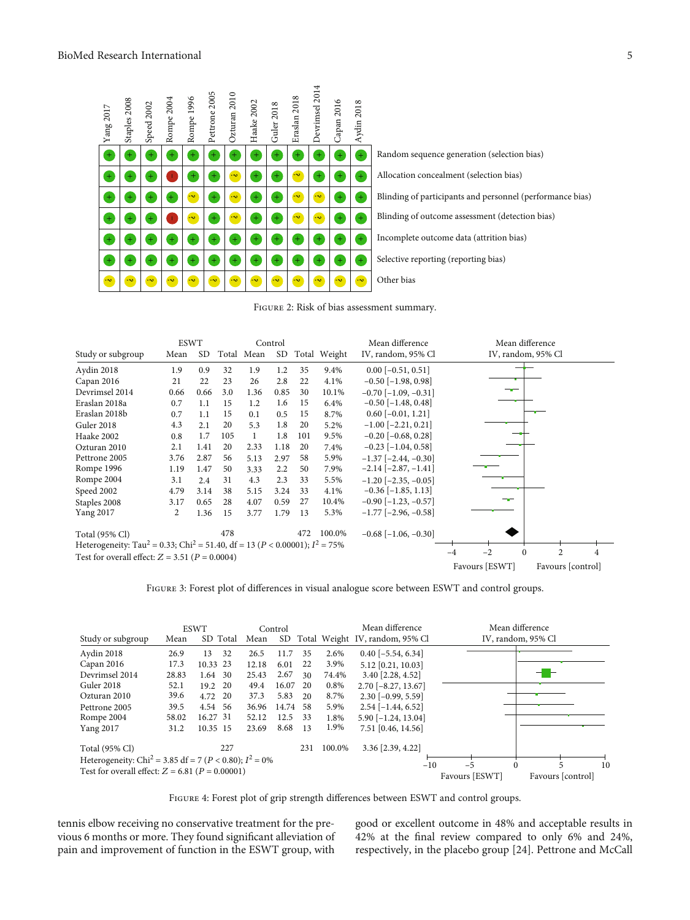<span id="page-4-0"></span>

| Yang 2017 | Staples 2008 | Speed 2002    | Rompe 2004 | Rompe 1996    | Pettrone 2005 | Ozturan 2010  | Haake 2002 | Guler 2018    | Eraslan 2018  | Devrimsel 2014 | Capan 2016 | Aydin 2018 |                                                           |
|-----------|--------------|---------------|------------|---------------|---------------|---------------|------------|---------------|---------------|----------------|------------|------------|-----------------------------------------------------------|
|           |              | $+$           |            | $^{+}$        |               |               | $\ddot{}$  | $\pm$         | $^{+}$        | $\ddot{}$      |            |            | Random sequence generation (selection bias)               |
|           | $+$          | $+$           |            | $\ddot{}$     |               | $\ddot{\sim}$ | $+$        | $+$           | $\ddot{\sim}$ | $^{+}$         | $+$        |            | Allocation concealment (selection bias)                   |
|           |              | $+$           |            | $\ddot{\sim}$ |               | $\sim$        | $^{+}$     | $+$           | $\ddot{\sim}$ | $\ddot{\sim}$  | $\ddot{}$  |            | Blinding of participants and personnel (performance bias) |
|           |              | $+$           |            | $\ddot{\sim}$ |               | $\ddot{\sim}$ | $+$        | $+$           | $\ddot{\sim}$ | $\ddot{\sim}$  |            |            | Blinding of outcome assessment (detection bias)           |
|           |              | $+$           |            | $\ddot{}$     |               |               | $\ddot{}$  | $\pm$         |               | 4              |            |            | Incomplete outcome data (attrition bias)                  |
|           | $+$          | $+$           |            | $\ddot{}$     |               | $+$           | $+$        | $+$           |               | $\ddot{}$      | $+$        |            | Selective reporting (reporting bias)                      |
| $-2$      | $\sim$       | $\ddot{\sim}$ | $\sim$     | $\ddot{\sim}$ | $\sim$        | $\sim$        | $\sim$     | $\ddot{\sim}$ | $\ddot{\sim}$ | $\sim$         | $\sim$     | $\sim$     | Other bias                                                |

Figure 2: Risk of bias assessment summary.

|                                                                                                           | <b>ESWT</b> |      |     |            | Control   |     |              | Mean difference               |      |                |          |                    |   |
|-----------------------------------------------------------------------------------------------------------|-------------|------|-----|------------|-----------|-----|--------------|-------------------------------|------|----------------|----------|--------------------|---|
| Study or subgroup                                                                                         | Mean        | SD.  |     | Total Mean | <b>SD</b> |     | Total Weight | IV, random, 95% Cl            |      |                |          | IV, random, 95% Cl |   |
| Aydin 2018                                                                                                | 1.9         | 0.9  | 32  | 1.9        | 1.2       | 35  | 9.4%         | $0.00$ [-0.51, 0.51]          |      |                |          |                    |   |
| Capan 2016                                                                                                | 21          | 22   | 23  | 26         | 2.8       | 22  | 4.1%         | $-0.50$ [ $-1.98$ , 0.98]     |      |                |          |                    |   |
| Devrimsel 2014                                                                                            | 0.66        | 0.66 | 3.0 | 1.36       | 0.85      | 30  | 10.1%        | $-0.70$ [ $-1.09$ , $-0.31$ ] |      |                | --       |                    |   |
| Eraslan 2018a                                                                                             | 0.7         | 1.1  | 15  | 1.2        | 1.6       | 15  | 6.4%         | $-0.50$ [ $-1.48$ , 0.48]     |      |                |          |                    |   |
| Eraslan 2018b                                                                                             | 0.7         | 1.1  | 15  | 0.1        | 0.5       | 15  | 8.7%         | $0.60$ [-0.01, 1.21]          |      |                |          |                    |   |
| Guler 2018                                                                                                | 4.3         | 2.1  | 20  | 5.3        | 1.8       | 20  | 5.2%         | $-1.00$ [ $-2.21$ , 0.21]     |      |                |          |                    |   |
| Haake 2002                                                                                                | 0.8         | 1.7  | 105 | 1          | 1.8       | 101 | 9.5%         | $-0.20$ [ $-0.68$ , 0.28]     |      |                |          |                    |   |
| Ozturan 2010                                                                                              | 2.1         | 1.41 | 20  | 2.33       | 1.18      | 20  | 7.4%         | $-0.23$ [ $-1.04$ , 0.58]     |      |                |          |                    |   |
| Pettrone 2005                                                                                             | 3.76        | 2.87 | 56  | 5.13       | 2.97      | 58  | 5.9%         | $-1.37$ [ $-2.44$ , $-0.30$ ] |      |                |          |                    |   |
| Rompe 1996                                                                                                | 1.19        | 1.47 | 50  | 3.33       | 2.2       | 50  | 7.9%         | $-2.14$ [ $-2.87$ , $-1.41$ ] |      |                |          |                    |   |
| Rompe 2004                                                                                                | 3.1         | 2.4  | 31  | 4.3        | 2.3       | 33  | 5.5%         | $-1.20$ [ $-2.35$ , $-0.05$ ] |      |                |          |                    |   |
| Speed 2002                                                                                                | 4.79        | 3.14 | 38  | 5.15       | 3.24      | 33  | 4.1%         | $-0.36$ [ $-1.85$ , 1.13]     |      |                |          |                    |   |
| Staples 2008                                                                                              | 3.17        | 0.65 | 28  | 4.07       | 0.59      | 27  | 10.4%        | $-0.90$ [ $-1.23$ , $-0.57$ ] |      |                | --       |                    |   |
| Yang 2017                                                                                                 | 2           | 1.36 | 15  | 3.77       | 1.79      | 13  | 5.3%         | $-1.77$ [ $-2.96$ , $-0.58$ ] |      |                |          |                    |   |
| Total (95% Cl)                                                                                            |             |      | 478 |            |           | 472 | 100.0%       | $-0.68$ [ $-1.06$ , $-0.30$ ] |      |                |          |                    |   |
| Heterogeneity: Tau <sup>2</sup> = 0.33; Chi <sup>2</sup> = 51.40, df = 13 ( $P < 0.00001$ ); $I^2 = 75\%$ |             |      |     |            |           |     |              |                               |      |                |          |                    |   |
| Test for overall effect: $Z = 3.51$ ( $P = 0.0004$ )                                                      |             |      |     |            |           |     |              |                               | $-4$ | $-2$           | $\Omega$ | 2                  | 4 |
|                                                                                                           |             |      |     |            |           |     |              |                               |      | Favours [ESWT] |          | Favours [control]  |   |

Figure 3: Forest plot of differences in visual analogue score between ESWT and control groups.

|                                                                               | <b>ESWT</b> |          |     | Control |          |      | Mean difference |                                 |       |                | Mean difference |                    |    |
|-------------------------------------------------------------------------------|-------------|----------|-----|---------|----------|------|-----------------|---------------------------------|-------|----------------|-----------------|--------------------|----|
| Study or subgroup                                                             | Mean        | SD Total |     | Mean    | SD.      |      |                 | Total Weight IV, random, 95% Cl |       |                |                 | IV, random, 95% Cl |    |
| Aydin 2018                                                                    | 26.9        | 13       | 32  | 26.5    | 11.7     | 35   | 2.6%            | $0.40$ [-5.54, 6.34]            |       |                |                 |                    |    |
| Capan 2016                                                                    | 17.3        | 10.33 23 |     | 12.18   | 6.01     | 22   | 3.9%            | 5.12 [0.21, 10.03]              |       |                |                 |                    |    |
| Devrimsel 2014                                                                | 28.83       | 1.64 30  |     | 25.43   | 2.67     | 30   | 74.4%           | 3.40 [2.28, 4.52]               |       |                |                 |                    |    |
| Guler 2018                                                                    | 52.1        | 19.2 20  |     | 49.4    | 16.07    | 20   | 0.8%            | $2.70$ [-8.27, 13.67]           |       |                |                 |                    |    |
| Ozturan 2010                                                                  | 39.6        | 4.72 20  |     | 37.3    | 5.83     | 20   | 8.7%            | $2.30$ [-0.99, 5.59]            |       |                |                 |                    |    |
| Pettrone 2005                                                                 | 39.5        | 4.54 56  |     | 36.96   | 14.74 58 |      | 5.9%            | $2.54$ [-1.44, 6.52]            |       |                |                 |                    |    |
| Rompe 2004                                                                    | 58.02       | 16.27 31 |     | 52.12   | 12.5     | - 33 | 1.8%            | $5.90$ [-1.24, 13.04]           |       |                |                 |                    |    |
| Yang 2017                                                                     | 31.2        | 10.35 15 |     | 23.69   | 8.68     | - 13 | 1.9%            | 7.51 [0.46, 14.56]              |       |                |                 |                    |    |
| Total (95% Cl)                                                                |             |          | 227 |         |          | 231  | 100.0%          | 3.36 [2.39, 4.22]               |       |                |                 |                    |    |
| Heterogeneity: Chi <sup>2</sup> = 3.85 df = 7 ( <i>P</i> < 0.80); $I^2 = 0\%$ |             |          |     |         |          |      |                 |                                 |       | $-5$           |                 |                    |    |
| Test for overall effect: $Z = 6.81$ ( $P = 0.00001$ )                         |             |          |     |         |          |      |                 |                                 | $-10$ | Favours [ESWT] |                 | Favours [control]  | 10 |

Figure 4: Forest plot of grip strength differences between ESWT and control groups.

tennis elbow receiving no conservative treatment for the previous 6 months or more. They found significant alleviation of pain and improvement of function in the ESWT group, with good or excellent outcome in 48% and acceptable results in 42% at the final review compared to only 6% and 24%, respectively, in the placebo group [[24](#page-7-0)]. Pettrone and McCall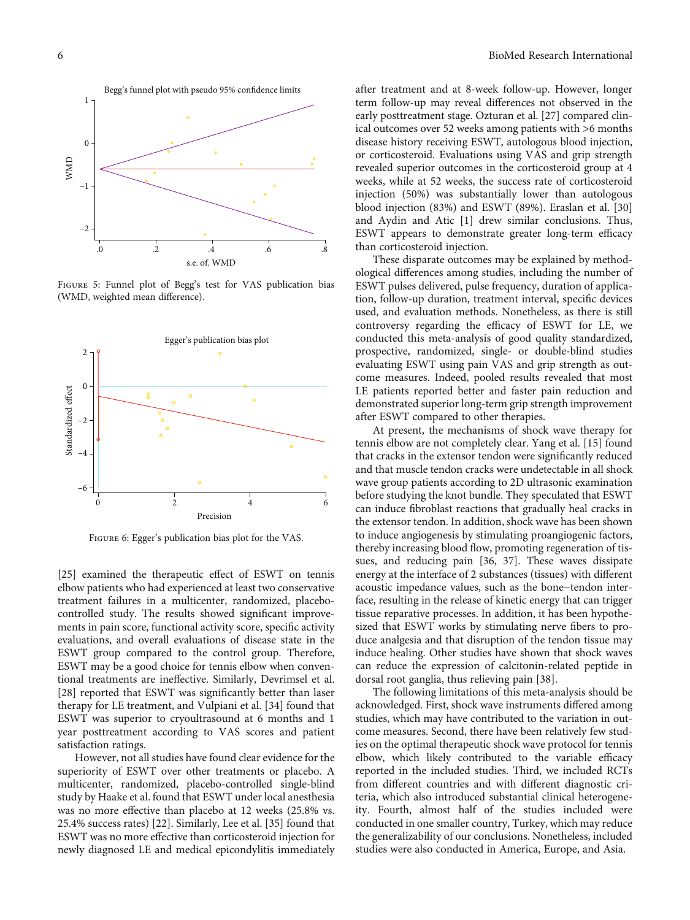<span id="page-5-0"></span>

FIGURE 5: Funnel plot of Begg's test for VAS publication bias (WMD, weighted mean difference).



Figure 6: Egger's publication bias plot for the VAS.

[\[25](#page-7-0)] examined the therapeutic effect of ESWT on tennis elbow patients who had experienced at least two conservative treatment failures in a multicenter, randomized, placebocontrolled study. The results showed significant improvements in pain score, functional activity score, specific activity evaluations, and overall evaluations of disease state in the ESWT group compared to the control group. Therefore, ESWT may be a good choice for tennis elbow when conventional treatments are ineffective. Similarly, Devrimsel et al. [\[28](#page-7-0)] reported that ESWT was significantly better than laser therapy for LE treatment, and Vulpiani et al. [[34](#page-7-0)] found that ESWT was superior to cryoultrasound at 6 months and 1 year posttreatment according to VAS scores and patient satisfaction ratings.

However, not all studies have found clear evidence for the superiority of ESWT over other treatments or placebo. A multicenter, randomized, placebo-controlled single-blind study by Haake et al. found that ESWT under local anesthesia was no more effective than placebo at 12 weeks (25.8% vs. 25.4% success rates) [[22](#page-7-0)]. Similarly, Lee et al. [[35](#page-7-0)] found that ESWT was no more effective than corticosteroid injection for newly diagnosed LE and medical epicondylitis immediately

after treatment and at 8-week follow-up. However, longer term follow-up may reveal differences not observed in the early posttreatment stage. Ozturan et al. [[27](#page-7-0)] compared clinical outcomes over 52 weeks among patients with >6 months disease history receiving ESWT, autologous blood injection, or corticosteroid. Evaluations using VAS and grip strength revealed superior outcomes in the corticosteroid group at 4 weeks, while at 52 weeks, the success rate of corticosteroid injection (50%) was substantially lower than autologous blood injection (83%) and ESWT (89%). Eraslan et al. [[30\]](#page-7-0) and Aydin and Atic [\[1](#page-6-0)] drew similar conclusions. Thus, ESWT appears to demonstrate greater long-term efficacy than corticosteroid injection.

These disparate outcomes may be explained by methodological differences among studies, including the number of ESWT pulses delivered, pulse frequency, duration of application, follow-up duration, treatment interval, specific devices used, and evaluation methods. Nonetheless, as there is still controversy regarding the efficacy of ESWT for LE, we conducted this meta-analysis of good quality standardized, prospective, randomized, single- or double-blind studies evaluating ESWT using pain VAS and grip strength as outcome measures. Indeed, pooled results revealed that most LE patients reported better and faster pain reduction and demonstrated superior long-term grip strength improvement after ESWT compared to other therapies.

At present, the mechanisms of shock wave therapy for tennis elbow are not completely clear. Yang et al. [[15](#page-7-0)] found that cracks in the extensor tendon were significantly reduced and that muscle tendon cracks were undetectable in all shock wave group patients according to 2D ultrasonic examination before studying the knot bundle. They speculated that ESWT can induce fibroblast reactions that gradually heal cracks in the extensor tendon. In addition, shock wave has been shown to induce angiogenesis by stimulating proangiogenic factors, thereby increasing blood flow, promoting regeneration of tissues, and reducing pain [\[36, 37\]](#page-7-0). These waves dissipate energy at the interface of 2 substances (tissues) with different acoustic impedance values, such as the bone−tendon interface, resulting in the release of kinetic energy that can trigger tissue reparative processes. In addition, it has been hypothesized that ESWT works by stimulating nerve fibers to produce analgesia and that disruption of the tendon tissue may induce healing. Other studies have shown that shock waves can reduce the expression of calcitonin-related peptide in dorsal root ganglia, thus relieving pain [[38](#page-7-0)].

The following limitations of this meta-analysis should be acknowledged. First, shock wave instruments differed among studies, which may have contributed to the variation in outcome measures. Second, there have been relatively few studies on the optimal therapeutic shock wave protocol for tennis elbow, which likely contributed to the variable efficacy reported in the included studies. Third, we included RCTs from different countries and with different diagnostic criteria, which also introduced substantial clinical heterogeneity. Fourth, almost half of the studies included were conducted in one smaller country, Turkey, which may reduce the generalizability of our conclusions. Nonetheless, included studies were also conducted in America, Europe, and Asia.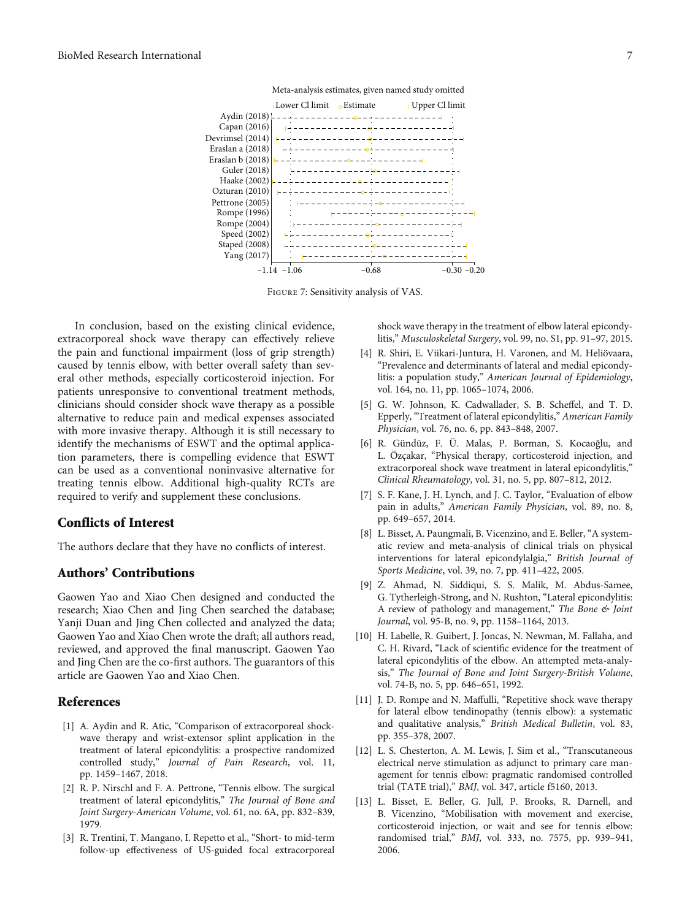<span id="page-6-0"></span>

Figure 7: Sensitivity analysis of VAS.

In conclusion, based on the existing clinical evidence, extracorporeal shock wave therapy can effectively relieve the pain and functional impairment (loss of grip strength) caused by tennis elbow, with better overall safety than several other methods, especially corticosteroid injection. For patients unresponsive to conventional treatment methods, clinicians should consider shock wave therapy as a possible alternative to reduce pain and medical expenses associated with more invasive therapy. Although it is still necessary to identify the mechanisms of ESWT and the optimal application parameters, there is compelling evidence that ESWT can be used as a conventional noninvasive alternative for treating tennis elbow. Additional high-quality RCTs are required to verify and supplement these conclusions.

#### Conflicts of Interest

The authors declare that they have no conflicts of interest.

#### Authors' Contributions

Gaowen Yao and Xiao Chen designed and conducted the research; Xiao Chen and Jing Chen searched the database; Yanji Duan and Jing Chen collected and analyzed the data; Gaowen Yao and Xiao Chen wrote the draft; all authors read, reviewed, and approved the final manuscript. Gaowen Yao and Jing Chen are the co-first authors. The guarantors of this article are Gaowen Yao and Xiao Chen.

#### References

- [1] A. Aydin and R. Atic, "Comparison of extracorporeal shockwave therapy and wrist-extensor splint application in the treatment of lateral epicondylitis: a prospective randomized controlled study," Journal of Pain Research, vol. 11, pp. 1459–1467, 2018.
- [2] R. P. Nirschl and F. A. Pettrone, "Tennis elbow. The surgical treatment of lateral epicondylitis," The Journal of Bone and Joint Surgery-American Volume, vol. 61, no. 6A, pp. 832–839, 1979.
- [3] R. Trentini, T. Mangano, I. Repetto et al., "Short- to mid-term follow-up effectiveness of US-guided focal extracorporeal

shock wave therapy in the treatment of elbow lateral epicondylitis," Musculoskeletal Surgery, vol. 99, no. S1, pp. 91–97, 2015.

- [4] R. Shiri, E. Viikari-Juntura, H. Varonen, and M. Heliövaara, "Prevalence and determinants of lateral and medial epicondylitis: a population study," American Journal of Epidemiology, vol. 164, no. 11, pp. 1065–1074, 2006.
- [5] G. W. Johnson, K. Cadwallader, S. B. Scheffel, and T. D. Epperly, "Treatment of lateral epicondylitis," American Family Physician, vol. 76, no. 6, pp. 843–848, 2007.
- [6] R. Gündüz, F. Ü. Malas, P. Borman, S. Kocaoğlu, and L. Özçakar, "Physical therapy, corticosteroid injection, and extracorporeal shock wave treatment in lateral epicondylitis," Clinical Rheumatology, vol. 31, no. 5, pp. 807–812, 2012.
- [7] S. F. Kane, J. H. Lynch, and J. C. Taylor, "Evaluation of elbow pain in adults," American Family Physician, vol. 89, no. 8, pp. 649–657, 2014.
- [8] L. Bisset, A. Paungmali, B. Vicenzino, and E. Beller, "A systematic review and meta-analysis of clinical trials on physical interventions for lateral epicondylalgia," British Journal of Sports Medicine, vol. 39, no. 7, pp. 411–422, 2005.
- [9] Z. Ahmad, N. Siddiqui, S. S. Malik, M. Abdus-Samee, G. Tytherleigh-Strong, and N. Rushton, "Lateral epicondylitis: A review of pathology and management," The Bone & Joint Journal, vol. 95-B, no. 9, pp. 1158–1164, 2013.
- [10] H. Labelle, R. Guibert, J. Joncas, N. Newman, M. Fallaha, and C. H. Rivard, "Lack of scientific evidence for the treatment of lateral epicondylitis of the elbow. An attempted meta-analysis," The Journal of Bone and Joint Surgery-British Volume, vol. 74-B, no. 5, pp. 646–651, 1992.
- [11] J. D. Rompe and N. Maffulli, "Repetitive shock wave therapy for lateral elbow tendinopathy (tennis elbow): a systematic and qualitative analysis," British Medical Bulletin, vol. 83, pp. 355–378, 2007.
- [12] L. S. Chesterton, A. M. Lewis, J. Sim et al., "Transcutaneous electrical nerve stimulation as adjunct to primary care management for tennis elbow: pragmatic randomised controlled trial (TATE trial)," BMJ, vol. 347, article f5160, 2013.
- [13] L. Bisset, E. Beller, G. Jull, P. Brooks, R. Darnell, and B. Vicenzino, "Mobilisation with movement and exercise, corticosteroid injection, or wait and see for tennis elbow: randomised trial," BMJ, vol. 333, no. 7575, pp. 939–941, 2006.